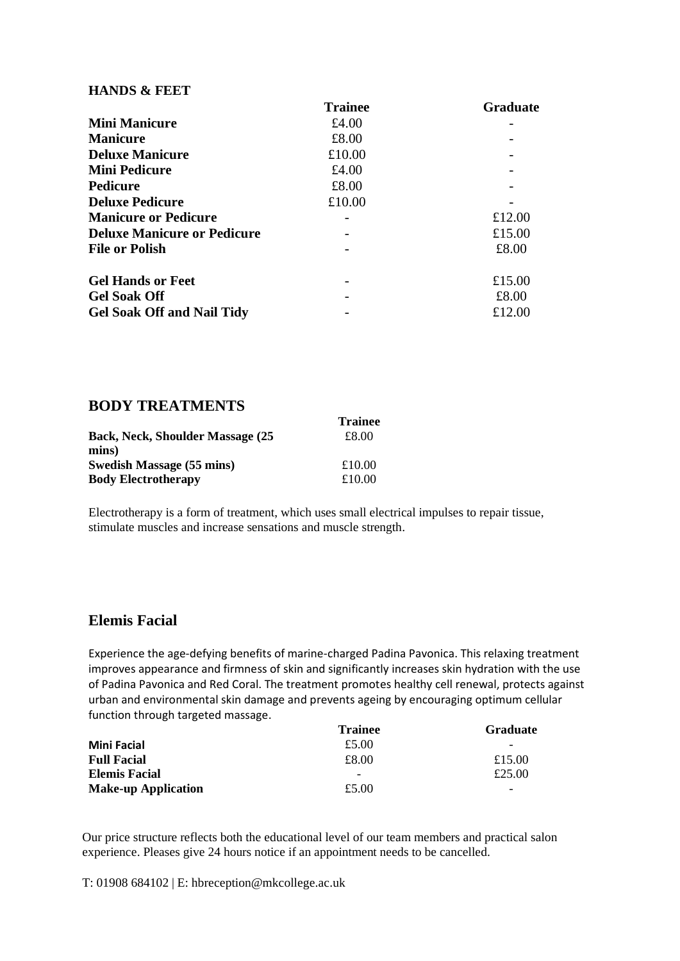#### **HANDS & FEET**

|                                    | <b>Trainee</b> | <b>Graduate</b> |
|------------------------------------|----------------|-----------------|
| <b>Mini Manicure</b>               | £4.00          |                 |
| <b>Manicure</b>                    | £8.00          |                 |
| <b>Deluxe Manicure</b>             | £10.00         |                 |
| <b>Mini Pedicure</b>               | £4.00          |                 |
| <b>Pedicure</b>                    | £8.00          |                 |
| <b>Deluxe Pedicure</b>             | £10.00         |                 |
| <b>Manicure or Pedicure</b>        |                | £12.00          |
| <b>Deluxe Manicure or Pedicure</b> |                | £15.00          |
| <b>File or Polish</b>              |                | £8.00           |
| <b>Gel Hands or Feet</b>           |                | £15.00          |
| <b>Gel Soak Off</b>                |                | £8.00           |
| <b>Gel Soak Off and Nail Tidy</b>  |                | £12.00          |

### **BODY TREATMENTS**

|                                          | <b>Trainee</b> |
|------------------------------------------|----------------|
| <b>Back, Neck, Shoulder Massage (25)</b> | £8.00          |
| mins)                                    |                |
| Swedish Massage (55 mins)                | £10.00         |
| <b>Body Electrotherapy</b>               | £10.00         |

Electrotherapy is a form of treatment, which uses small electrical impulses to repair tissue, stimulate muscles and increase sensations and muscle strength.

# **Elemis Facial**

Experience the age-defying benefits of marine-charged Padina Pavonica. This relaxing treatment improves appearance and firmness of skin and significantly increases skin hydration with the use of Padina Pavonica and Red Coral. The treatment promotes healthy cell renewal, protects against urban and environmental skin damage and prevents ageing by encouraging optimum cellular function through targeted massage.

|                            | <b>Trainee</b>           | <b>Graduate</b>          |
|----------------------------|--------------------------|--------------------------|
| <b>Mini Facial</b>         | £5.00                    | $\overline{\phantom{0}}$ |
| <b>Full Facial</b>         | £8.00                    | £15.00                   |
| <b>Elemis Facial</b>       | $\overline{\phantom{a}}$ | £25.00                   |
| <b>Make-up Application</b> | £5.00                    | $\overline{\phantom{a}}$ |

Our price structure reflects both the educational level of our team members and practical salon experience. Pleases give 24 hours notice if an appointment needs to be cancelled.

T: 01908 684102 | E: hbreception@mkcollege.ac.uk